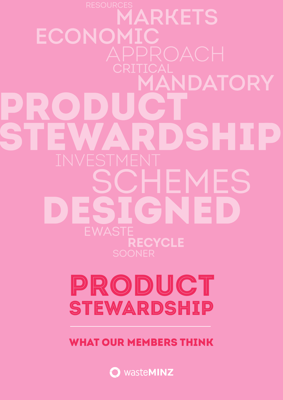**MARKETS ECONOMIC MANDATORY**  $\blacksquare$  $\blacksquare$  $\blacktriangle$  $\blacktriangle$ SCHEMES C **RECYCLE**

# PRODUCT STEWARDSHIP

WHAT OUR MEMBERS THINK

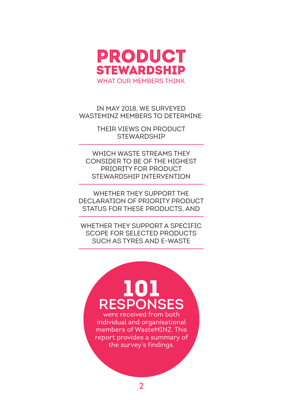

In May 2018, we surveyed WASTEMINZ MEMBERS TO DETERMINE:

> their views on product **STEWARDSHIP**

which waste streams they consider to be of the highest priority for product stewardship intervention

whether they support the declaration of priority product status for these products, and

whether they support a specific SCOPE FOR SELECTED PRODUCTS such as tyres and e-waste

# 101 **responses** were received from both

individual and organisational members of WasteMINZ. This report provides a summary of the survey's findings.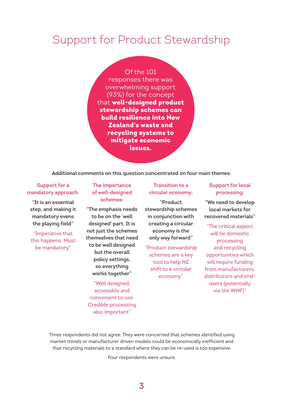# Support for Product Stewardship

Of the 101 responses there was overwhelming support (93%) for the concept that well-designed product stewardship schemes can build resilience into New Zealand's waste and recycling systems to mitigate economic issues.

#### **Additional comments on this question concentrated on four main themes:**

#### **Support for a mandatory approach:**

**"It is an essential step, and making it mandatory evens the playing field"**

"Imperative that this happens. Must be mandatory"

#### **The importance of well-designed schemes:**

**"The emphasis needs to be on the 'well designed' part. It is not just the schemes themselves that need to be well designed but the overall policy settings, so everything works together"**

"Well designed, accessible and convenient to use. Credible processing also important"

#### **Transition to a circular economy:**

**"Product stewardship schemes in conjunction with creating a circular economy is the only way forward"** 

"Product stewardship schemes are a key tool to help NZ shift to a circular economy".

#### **Support for local processing:**

**"We need to develop local markets for recovered materials"**

"The critical aspect will be domestic processing and recycling opportunities which will require funding from manufacturers, distributors and endusers (potentially via the WMF)"

Three respondents did not agree. They were concerned that schemes identified using market trends or manufacturer driven models could be economically inefficient and that recycling materials to a standard where they can be re-used is too expensive.

Four respondents were unsure.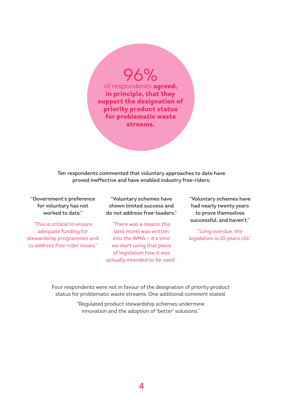96%

of respondents agreed, in principle, that they support the designation of priority product status for problematic waste streams.

**Ten respondents commented that voluntary approaches to date have proved ineffective and have enabled industry free-riders:**

**"Government's preference for voluntary has not worked to date."**

"This is critical to ensure adequate funding for stewardship programmes and to address free-rider issues."

**"Voluntary schemes have shown limited success and do not address free-loaders."**

"There was a reason this (and more) was written into the WMA — it's time we start using that piece of legislation how it was actually intended to be used." **"Voluntary schemes have had nearly twenty years to prove themselves successful, and haven't."**

"Long overdue, the legislation is 10 years old."

Four respondents were not in favour of the designation of priority product status for problematic waste streams. One additional comment stated:

> "Regulated product stewardship schemes undermine innovation and the adoption of 'better' solutions."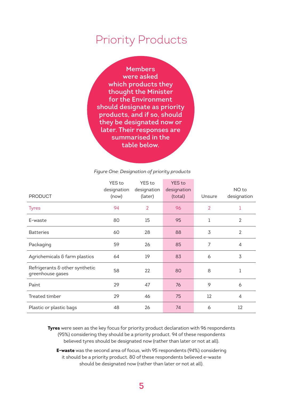## Priority Products

**Members were asked which products they thought the Minister for the Environment should designate as priority products, and if so, should they be designated now or later. Their responses are summarised in the table below.**

#### *Figure One: Designation of priority products*

|                                                    | YES to      | YES to         | <b>YES</b> to |                |                |
|----------------------------------------------------|-------------|----------------|---------------|----------------|----------------|
|                                                    | designation | designation    | designation   |                | NO to          |
| <b>PRODUCT</b>                                     | (now)       | (later)        | (total)       | Unsure         | designation    |
| <b>Tyres</b>                                       | 94          | $\overline{2}$ | 96            | $\overline{2}$ | 1              |
| E-waste                                            | 80          | 15             | 95            | 1              | $\overline{2}$ |
| <b>Batteries</b>                                   | 60          | 28             | 88            | 3              | $\overline{2}$ |
| Packaging                                          | 59          | 26             | 85            | 7              | 4              |
| Agrichemicals & farm plastics                      | 64          | 19             | 83            | 6              | 3              |
| Refrigerants & other synthetic<br>greenhouse gases | 58          | 22             | 80            | 8              | 1              |
| Paint                                              | 29          | 47             | 76            | 9              | 6              |
| Treated timber                                     | 29          | 46             | 75            | 12             | 4              |
| Plastic or plastic bags                            | 48          | 26             | 74            | 6              | 12             |

**Tyres** were seen as the key focus for priority product declaration with 96 respondents (95%) considering they should be a priority product. 94 of these respondents believed tyres should be designated now (rather than later or not at all).

**E-waste** was the second area of focus, with 95 respondents (94%) considering it should be a priority product. 80 of these respondents believed e-waste should be designated now (rather than later or not at all).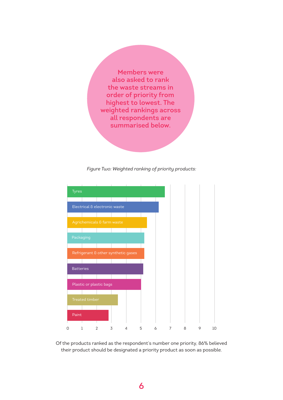**Members were also asked to rank the waste streams in order of priority from highest to lowest. The weighted rankings across all respondents are summarised below.**

*Figure Two: Weighted ranking of priority products:*



Of the products ranked as the respondent's number one priority, 86% believed their product should be designated a priority product as soon as possible.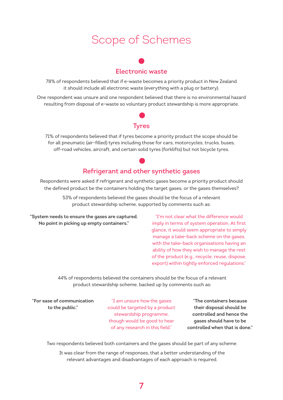# Scope of Schemes

### **Electronic waste**

78% of respondents believed that if e-waste becomes a priority product in New Zealand it should include all electronic waste (everything with a plug or battery).

One respondent was unsure and one respondent believed that there is no environmental hazard resulting from disposal of e-waste so voluntary product stewardship is more appropriate.

#### **Tyres**

71% of respondents believed that if tyres become a priority product the scope should be for all pneumatic (air-filled) tyres including those for cars, motorcycles, trucks, buses, off-road vehicles, aircraft, and certain solid tyres (forklifts) but not bicycle tyres.

### **Refrigerant and other synthetic gases**

Respondents were asked if refrigerant and synthetic gases become a priority product should the defined product be the containers holding the target gases, or the gases themselves?

> 53% of respondents believed the gases should be the focus of a relevant product stewardship scheme, supported by comments such as:

**"System needs to ensure the gases are captured. No point in picking up empty containers."**

"I'm not clear what the difference would imply in terms of system operation. At first glance, it would seem appropriate to simply manage a take-back scheme on the gases, with the take-back organisations having an ability of how they wish to manage the rest of the product (e.g., recycle, reuse, dispose, export) within tightly enforced regulations."

44% of respondents believed the containers should be the focus of a relevant product stewardship scheme, backed up by comments such as:

**"For ease of communication to the public."**

"I am unsure how the gases could be targeted by a product stewardship programme, though would be good to hear of any research in this field."

**"The containers because their disposal should be controlled and hence the gases should have to be controlled when that is done."**

Two respondents believed both containers and the gases should be part of any scheme.

It was clear from the range of responses, that a better understanding of the relevant advantages and disadvantages of each approach is required.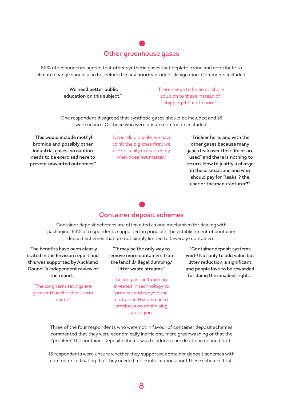#### **Other greenhouse gases**

80% of respondents agreed that other synthetic gases that deplete ozone and contribute to climate change should also be included in any priority product designation. Comments included:

> **"We need better public education on this subject."**

"There needs to be an on shore solution to these instead of shipping them offshore."

One respondent disagreed that synthetic gases should be included and 18 were unsure. Of those who were unsure comments included:

**"This would include methyl bromide and possibly other industrial gases, so caution needs to be exercised here to prevent unwanted outcomes."** "Depends on scale, we have to hit the big ones first, we are so easily distracted by what does not matter."

**"Trickier here; and with the other gases because many gases leak over their life or are "used" and there is nothing to return. How to justify a charge in these situations and who should pay for "leaks"? the user or the manufacturer?"**

### **Container deposit schemes**

Container deposit schemes are often cited as one mechanism for dealing with packaging. 83% of respondents supported, in principle, the establishment of container deposit schemes that are not simply limited to beverage containers:

**"The benefits have been clearly stated in the Envision report and this was supported by Auckland Council's independent review of the report."**

"The long term savings are greater than the short term costs."

**"It may be the only way to remove more containers from the landfill/illegal dumping/ litter waste streams"**

"As long as the funds are invested in technology to process and recycle the container. But also need emphasis on minimising packaging"

**"Container deposit systems work! Not only to add value but litter reduction is significant and people love to be rewarded for doing the smallest right..".**

Three of the four respondents who were not in favour of container deposit schemes commented that they were economically inefficient, mere greenwashing or that the "problem" the container deposit scheme was to address needed to be defined first.

13 respondents were unsure whether they supported container deposit schemes with comments indicating that they needed more information about these schemes first.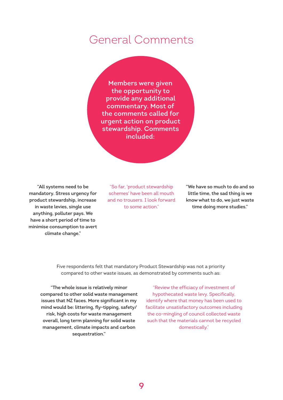### General Comments

**Members were given the opportunity to provide any additional commentary. Most of the comments called for urgent action on product stewardship. Comments included:**

**"All systems need to be mandatory. Stress urgency for product stewardship, increase in waste levies, single use anything, polluter pays. We have a short period of time to minimise consumption to avert climate change."**

"So far, 'product stewardship schemes' have been all mouth and no trousers. I look forward to some action."

**"We have so much to do and so little time, the sad thing is we know what to do, we just waste time doing more studies."**

Five respondents felt that mandatory Product Stewardship was not a priority compared to other waste issues, as demonstrated by comments such as:

**"The whole issue is relatively minor compared to other solid waste management issues that NZ faces. More significant in my mind would be: littering, fly-tipping, safety/ risk, high costs for waste management overall, long term planning for solid waste management, climate impacts and carbon sequestration."**

"Review the efficiacy of investment of hypothecated waste levy. Specifically, identify where that money has been used to facilitate unsatisfactory outcomes including the co-mingling of council collected waste such that the materials cannot be recycled domestically."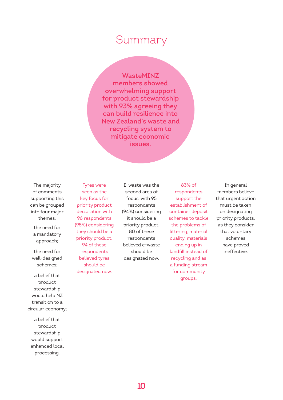### Summary

**WasteMINZ members showed overwhelming support for product stewardship with 93% agreeing they can build resilience into New Zealand's waste and recycling system to mitigate economic issues.**

The majority of comments supporting this can be grouped into four major themes:

the need for a mandatory approach;

the need for well-designed schemes;

a belief that product stewardship would help NZ transition to a circular economy;

a belief that product stewardship would support enhanced local processing.

Tyres were seen as the key focus for priority product declaration with 96 respondents (95%) considering they should be a priority product. 94 of these respondents believed tyres should be designated now.

E-waste was the second area of focus, with 95 respondents (94%) considering it should be a priority product. 80 of these respondents believed e-waste should be designated now.

83% of respondents support the establishment of container deposit schemes to tackle the problems of littering, material quality, materials ending up in landfill instead of recycling and as a funding stream for community groups.

In general members believe that urgent action must be taken on designating priority products, as they consider that voluntary schemes have proved ineffective.